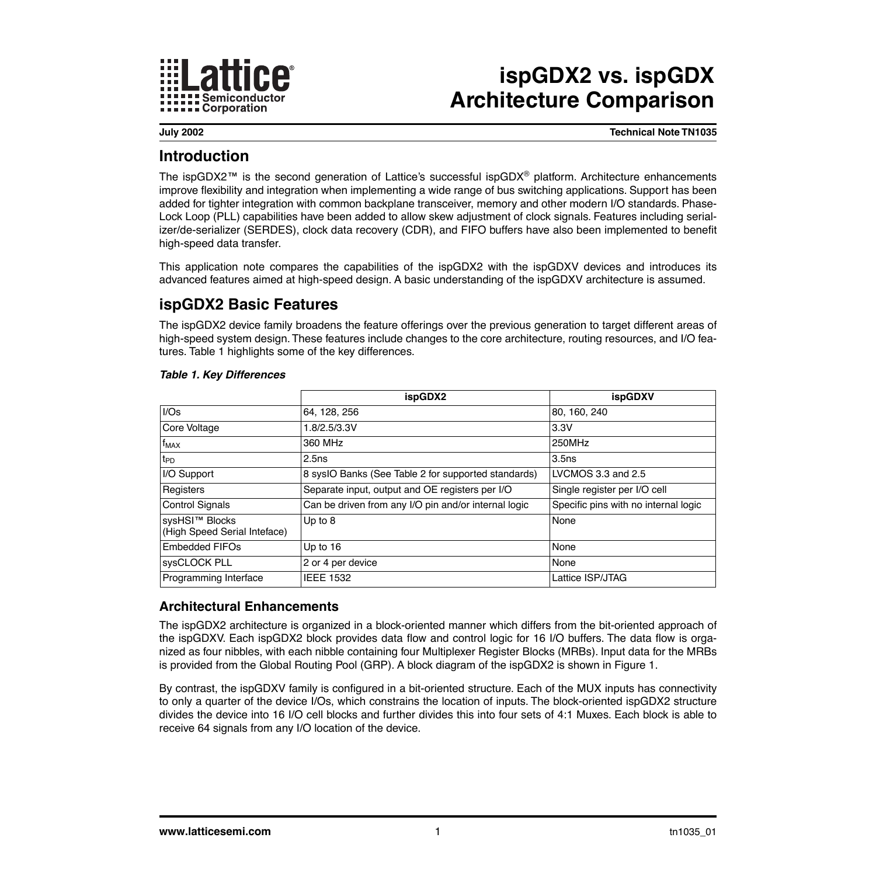

# **ispGDX2 vs. ispGDX Architecture Comparison**

**July 2002 Technical Note TN1035**

# **Introduction**

The ispGDX2™ is the second generation of Lattice's successful ispGDX® platform. Architecture enhancements improve flexibility and integration when implementing a wide range of bus switching applications. Support has been added for tighter integration with common backplane transceiver, memory and other modern I/O standards. Phase-Lock Loop (PLL) capabilities have been added to allow skew adjustment of clock signals. Features including serializer/de-serializer (SERDES), clock data recovery (CDR), and FIFO buffers have also been implemented to benefit high-speed data transfer.

This application note compares the capabilities of the ispGDX2 with the ispGDXV devices and introduces its advanced features aimed at high-speed design. A basic understanding of the ispGDXV architecture is assumed.

# **ispGDX2 Basic Features**

The ispGDX2 device family broadens the feature offerings over the previous generation to target different areas of high-speed system design. These features include changes to the core architecture, routing resources, and I/O features. [Table 1](#page-0-0) highlights some of the key differences.

|                                                            | ispGDX2                                              | <b>ispGDXV</b>                       |  |
|------------------------------------------------------------|------------------------------------------------------|--------------------------------------|--|
| I/Os                                                       | 64, 128, 256                                         | 80, 160, 240                         |  |
| Core Voltage                                               | 1.8/2.5/3.3V                                         | 3.3V                                 |  |
| f <sub>MAX</sub>                                           | 360 MHz                                              | 250MHz                               |  |
| t <sub>PD</sub>                                            | 2.5ns                                                | 3.5ns                                |  |
| I/O Support                                                | 8 sysIO Banks (See Table 2 for supported standards)  | LVCMOS $3.3$ and $2.5$               |  |
| Registers                                                  | Separate input, output and OE registers per I/O      | Single register per I/O cell         |  |
| <b>Control Signals</b>                                     | Can be driven from any I/O pin and/or internal logic | Specific pins with no internal logic |  |
| sysHSI <sup>™</sup> Blocks<br>(High Speed Serial Inteface) | Up to $8$                                            | None                                 |  |
| <b>Embedded FIFOs</b>                                      | Up to $16$                                           | None                                 |  |
| sysCLOCK PLL                                               | 2 or 4 per device                                    | None                                 |  |
| Programming Interface                                      | <b>IEEE 1532</b>                                     | Lattice ISP/JTAG                     |  |

#### <span id="page-0-0"></span>*Table 1. Key Differences*

#### **Architectural Enhancements**

The ispGDX2 architecture is organized in a block-oriented manner which differs from the bit-oriented approach of the ispGDXV. Each ispGDX2 block provides data flow and control logic for 16 I/O buffers. The data flow is organized as four nibbles, with each nibble containing four Multiplexer Register Blocks (MRBs). Input data for the MRBs is provided from the Global Routing Pool (GRP). A block diagram of the ispGDX2 is shown in [Figure 1](#page-1-0).

By contrast, the ispGDXV family is configured in a bit-oriented structure. Each of the MUX inputs has connectivity to only a quarter of the device I/Os, which constrains the location of inputs. The block-oriented ispGDX2 structure divides the device into 16 I/O cell blocks and further divides this into four sets of 4:1 Muxes. Each block is able to receive 64 signals from any I/O location of the device.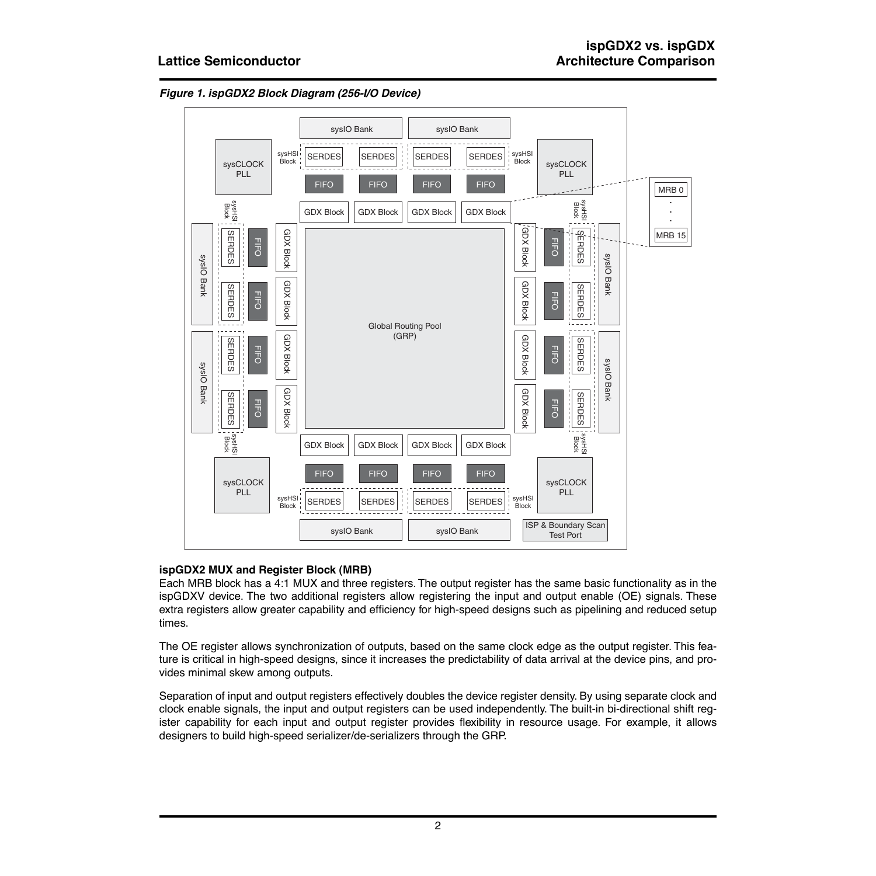<span id="page-1-0"></span>



#### **ispGDX2 MUX and Register Block (MRB)**

Each MRB block has a 4:1 MUX and three registers. The output register has the same basic functionality as in the ispGDXV device. The two additional registers allow registering the input and output enable (OE) signals. These extra registers allow greater capability and efficiency for high-speed designs such as pipelining and reduced setup times.

The OE register allows synchronization of outputs, based on the same clock edge as the output register. This feature is critical in high-speed designs, since it increases the predictability of data arrival at the device pins, and provides minimal skew among outputs.

Separation of input and output registers effectively doubles the device register density. By using separate clock and clock enable signals, the input and output registers can be used independently. The built-in bi-directional shift register capability for each input and output register provides flexibility in resource usage. For example, it allows designers to build high-speed serializer/de-serializers through the GRP.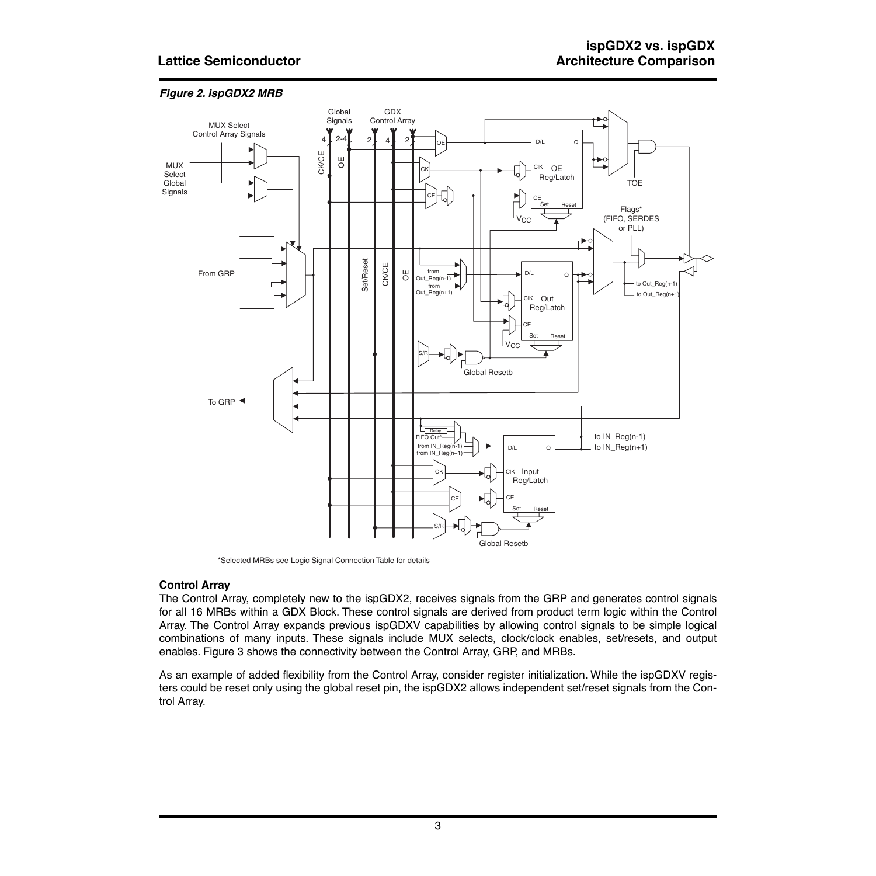#### *Figure 2. ispGDX2 MRB*



\*Selected MRBs see Logic Signal Connection Table for details

#### **Control Array**

The Control Array, completely new to the ispGDX2, receives signals from the GRP and generates control signals for all 16 MRBs within a GDX Block. These control signals are derived from product term logic within the Control Array. The Control Array expands previous ispGDXV capabilities by allowing control signals to be simple logical combinations of many inputs. These signals include MUX selects, clock/clock enables, set/resets, and output enables. [Figure 3](#page-3-0) shows the connectivity between the Control Array, GRP, and MRBs.

As an example of added flexibility from the Control Array, consider register initialization. While the ispGDXV registers could be reset only using the global reset pin, the ispGDX2 allows independent set/reset signals from the Control Array.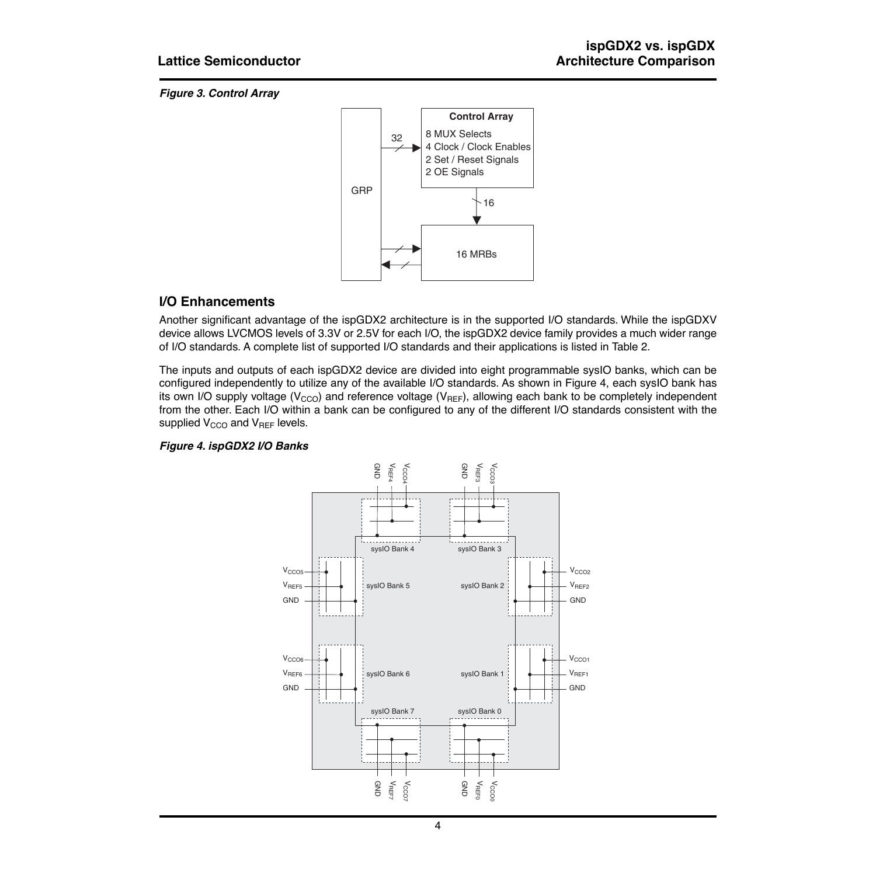#### <span id="page-3-0"></span>*Figure 3. Control Array*



#### **I/O Enhancements**

Another significant advantage of the ispGDX2 architecture is in the supported I/O standards. While the ispGDXV device allows LVCMOS levels of 3.3V or 2.5V for each I/O, the ispGDX2 device family provides a much wider range of I/O standards. A complete list of supported I/O standards and their applications is listed in Table 2.

The inputs and outputs of each ispGDX2 device are divided into eight programmable sysIO banks, which can be configured independently to utilize any of the available I/O standards. As shown in Figure 4, each sysIO bank has its own I/O supply voltage ( $V_{CCO}$ ) and reference voltage ( $V_{REF}$ ), allowing each bank to be completely independent from the other. Each I/O within a bank can be configured to any of the different I/O standards consistent with the supplied  $V_{CCO}$  and  $V_{REF}$  levels.



#### *Figure 4. ispGDX2 I/O Banks*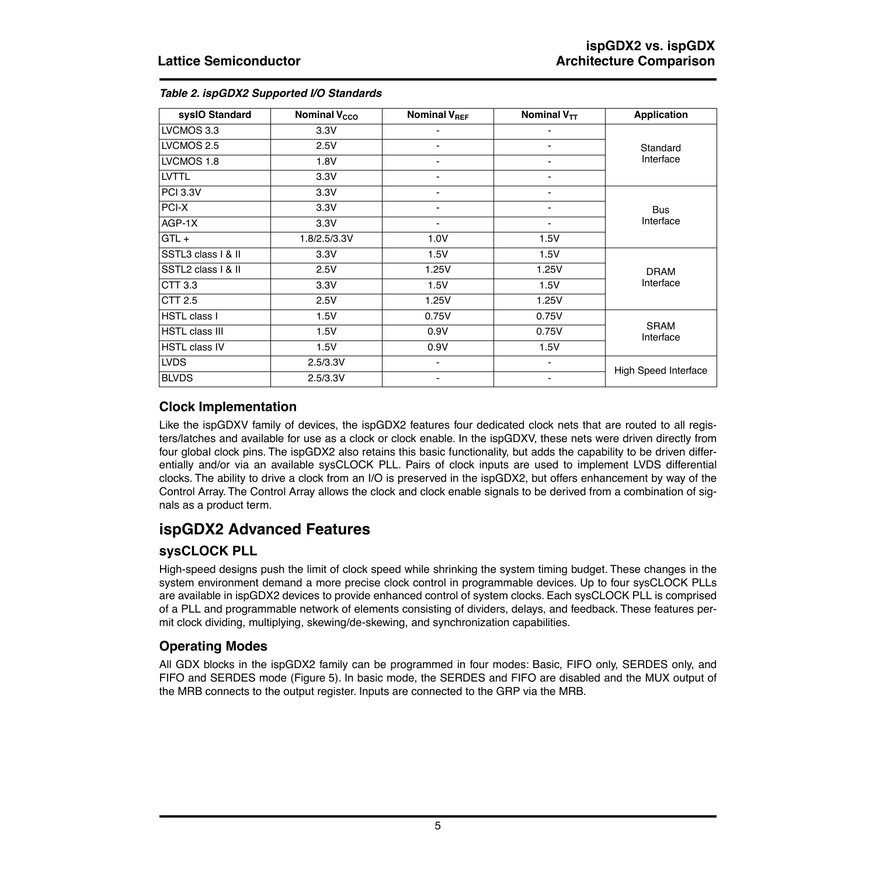| sysIO Standard        | Nominal V <sub>cco</sub> | <b>Nominal V<sub>REF</sub></b> | Nominal V <sub>TT</sub>      | <b>Application</b>          |
|-----------------------|--------------------------|--------------------------------|------------------------------|-----------------------------|
| LVCMOS 3.3            | 3.3V                     |                                | $\qquad \qquad \blacksquare$ | Standard<br>Interface       |
| LVCMOS 2.5            | 2.5V                     | $\blacksquare$                 | $\blacksquare$               |                             |
| LVCMOS 1.8            | 1.8V                     | $\blacksquare$                 | $\blacksquare$               |                             |
| <b>LVTTL</b>          | 3.3V                     |                                | $\qquad \qquad \blacksquare$ |                             |
| <b>PCI 3.3V</b>       | 3.3V                     |                                |                              | <b>Bus</b><br>Interface     |
| PCI-X                 | 3.3V                     |                                |                              |                             |
| AGP-1X                | 3.3V                     |                                | ٠                            |                             |
| $GTL +$               | 1.8/2.5/3.3V             | 1.0V                           | 1.5V                         |                             |
| SSTL3 class   & II    | 3.3V                     | 1.5V                           | 1.5V                         | <b>DRAM</b><br>Interface    |
| SSTL2 class   & II    | 2.5V                     | 1.25V                          | 1.25V                        |                             |
| CTT 3.3               | 3.3V                     | 1.5V                           | 1.5V                         |                             |
| CTT 2.5               | 2.5V                     | 1.25V                          | 1.25V                        |                             |
| <b>HSTL class I</b>   | 1.5V                     | 0.75V                          | 0.75V                        | <b>SRAM</b><br>Interface    |
| <b>HSTL class III</b> | 1.5V                     | 0.9V                           | 0.75V                        |                             |
| <b>HSTL class IV</b>  | 1.5V                     | 0.9V                           | 1.5V                         |                             |
| <b>LVDS</b>           | 2.5/3.3V                 | $\blacksquare$                 | $\blacksquare$               | <b>High Speed Interface</b> |
| <b>BLVDS</b>          | 2.5/3.3V                 | $\blacksquare$                 | $\blacksquare$               |                             |

#### *Table 2. ispGDX2 Supported I/O Standards*

# **Clock Implementation**

Like the ispGDXV family of devices, the ispGDX2 features four dedicated clock nets that are routed to all registers/latches and available for use as a clock or clock enable. In the ispGDXV, these nets were driven directly from four global clock pins. The ispGDX2 also retains this basic functionality, but adds the capability to be driven differentially and/or via an available sysCLOCK PLL. Pairs of clock inputs are used to implement LVDS differential clocks. The ability to drive a clock from an I/O is preserved in the ispGDX2, but offers enhancement by way of the Control Array. The Control Array allows the clock and clock enable signals to be derived from a combination of signals as a product term.

# **ispGDX2 Advanced Features**

# **sysCLOCK PLL**

High-speed designs push the limit of clock speed while shrinking the system timing budget. These changes in the system environment demand a more precise clock control in programmable devices. Up to four sysCLOCK PLLs are available in ispGDX2 devices to provide enhanced control of system clocks. Each sysCLOCK PLL is comprised of a PLL and programmable network of elements consisting of dividers, delays, and feedback. These features permit clock dividing, multiplying, skewing/de-skewing, and synchronization capabilities.

# **Operating Modes**

All GDX blocks in the ispGDX2 family can be programmed in four modes: Basic, FIFO only, SERDES only, and FIFO and SERDES mode ([Figure 5\)](#page-5-0). In basic mode, the SERDES and FIFO are disabled and the MUX output of the MRB connects to the output register. Inputs are connected to the GRP via the MRB.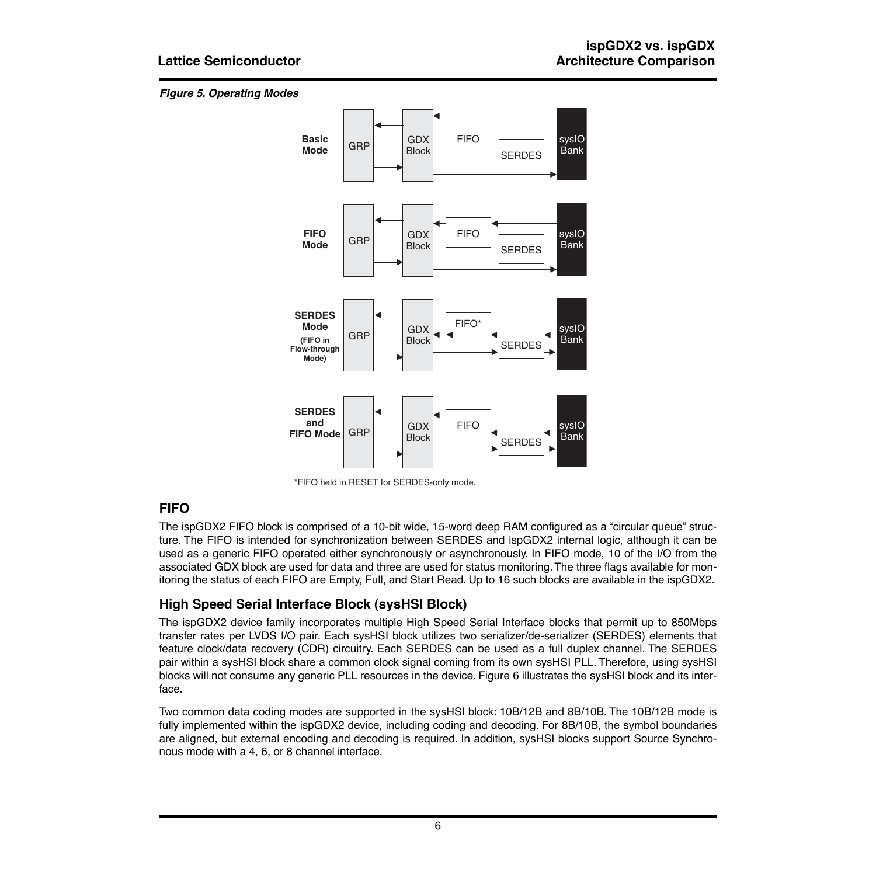#### <span id="page-5-0"></span>*Figure 5. Operating Modes*





# **FIFO**

The ispGDX2 FIFO block is comprised of a 10-bit wide, 15-word deep RAM configured as a "circular queue" structure. The FIFO is intended for synchronization between SERDES and ispGDX2 internal logic, although it can be used as a generic FIFO operated either synchronously or asynchronously. In FIFO mode, 10 of the I/O from the associated GDX block are used for data and three are used for status monitoring. The three flags available for monitoring the status of each FIFO are Empty, Full, and Start Read. Up to 16 such blocks are available in the ispGDX2.

# **High Speed Serial Interface Block (sysHSI Block)**

The ispGDX2 device family incorporates multiple High Speed Serial Interface blocks that permit up to 850Mbps transfer rates per LVDS I/O pair. Each sysHSI block utilizes two serializer/de-serializer (SERDES) elements that feature clock/data recovery (CDR) circuitry. Each SERDES can be used as a full duplex channel. The SERDES pair within a sysHSI block share a common clock signal coming from its own sysHSI PLL. Therefore, using sysHSI blocks will not consume any generic PLL resources in the device. [Figure 6](#page-6-0) illustrates the sysHSI block and its interface.

Two common data coding modes are supported in the sysHSI block: 10B/12B and 8B/10B. The 10B/12B mode is fully implemented within the ispGDX2 device, including coding and decoding. For 8B/10B, the symbol boundaries are aligned, but external encoding and decoding is required. In addition, sysHSI blocks support Source Synchronous mode with a 4, 6, or 8 channel interface.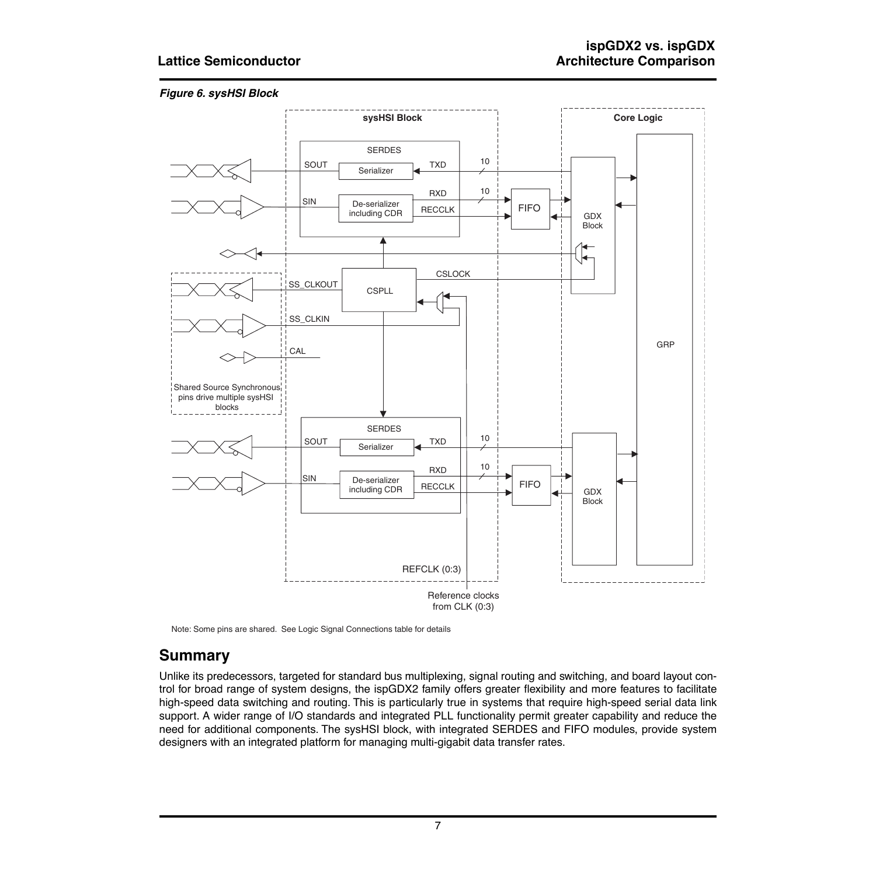#### <span id="page-6-0"></span>*Figure 6. sysHSI Block*



Note: Some pins are shared. See Logic Signal Connections table for details

# **Summary**

Unlike its predecessors, targeted for standard bus multiplexing, signal routing and switching, and board layout control for broad range of system designs, the ispGDX2 family offers greater flexibility and more features to facilitate high-speed data switching and routing. This is particularly true in systems that require high-speed serial data link support. A wider range of I/O standards and integrated PLL functionality permit greater capability and reduce the need for additional components. The sysHSI block, with integrated SERDES and FIFO modules, provide system designers with an integrated platform for managing multi-gigabit data transfer rates.